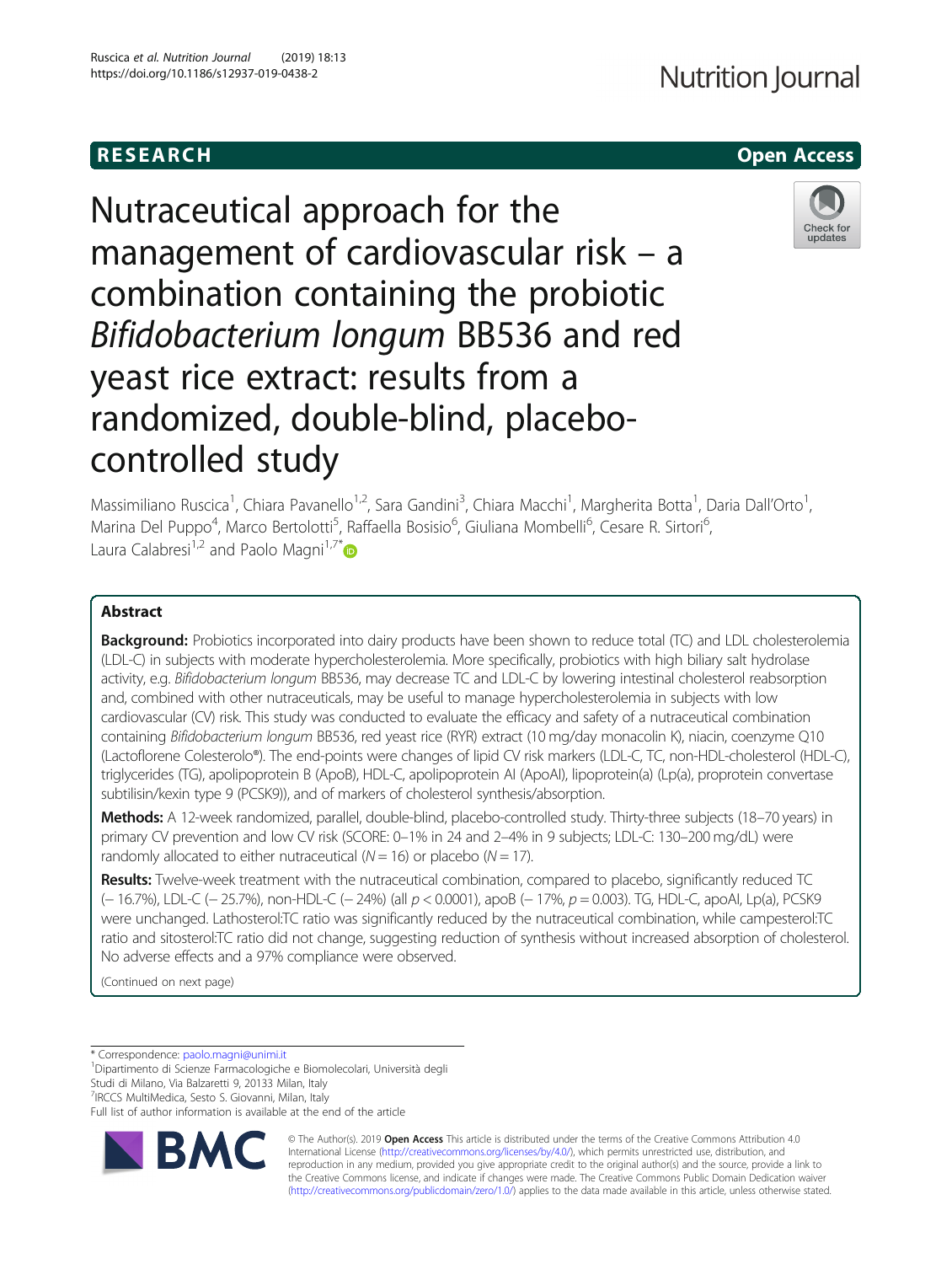# **RESEARCH CHEAR CHEAR CHEAR CHEAR CHEAR CHEAR CHEAR CHEAR CHEAR CHEAR CHEAR CHEAR CHEAR CHEAR CHEAR CHEAR CHEAR**

Nutraceutical approach for the management of cardiovascular risk – a combination containing the probiotic Bifidobacterium longum BB536 and red yeast rice extract: results from a randomized, double-blind, placebocontrolled study



Massimiliano Ruscica<sup>1</sup>, Chiara Pavanello<sup>1,2</sup>, Sara Gandini<sup>3</sup>, Chiara Macchi<sup>1</sup>, Margherita Botta<sup>1</sup>, Daria Dall'Orto<sup>1</sup> , Marina Del Puppo<sup>4</sup>, Marco Bertolotti<sup>5</sup>, Raffaella Bosisio<sup>6</sup>, Giuliana Mombelli<sup>6</sup>, Cesare R. Sirtori<sup>6</sup> , Laura Calabresi<sup>1,2</sup> and Paolo Magni<sup>1,7\*</sup> $\bullet$ 

# Abstract

Background: Probiotics incorporated into dairy products have been shown to reduce total (TC) and LDL cholesterolemia (LDL-C) in subjects with moderate hypercholesterolemia. More specifically, probiotics with high biliary salt hydrolase activity, e.g. Bifidobacterium longum BB536, may decrease TC and LDL-C by lowering intestinal cholesterol reabsorption and, combined with other nutraceuticals, may be useful to manage hypercholesterolemia in subjects with low cardiovascular (CV) risk. This study was conducted to evaluate the efficacy and safety of a nutraceutical combination containing Bifidobacterium longum BB536, red yeast rice (RYR) extract (10 mg/day monacolin K), niacin, coenzyme Q10 (Lactoflorene Colesterolo®). The end-points were changes of lipid CV risk markers (LDL-C, TC, non-HDL-cholesterol (HDL-C), triglycerides (TG), apolipoprotein B (ApoB), HDL-C, apolipoprotein AI (ApoAI), lipoprotein(a) (Lp(a), proprotein convertase subtilisin/kexin type 9 (PCSK9)), and of markers of cholesterol synthesis/absorption.

Methods: A 12-week randomized, parallel, double-blind, placebo-controlled study. Thirty-three subjects (18-70 years) in primary CV prevention and low CV risk (SCORE: 0–1% in 24 and 2–4% in 9 subjects; LDL-C: 130–200 mg/dL) were randomly allocated to either nutraceutical ( $N = 16$ ) or placebo ( $N = 17$ ).

Results: Twelve-week treatment with the nutraceutical combination, compared to placebo, significantly reduced TC (− 16.7%), LDL-C (− 25.7%), non-HDL-C (− 24%) (all p < 0.0001), apoB (− 17%, p = 0.003). TG, HDL-C, apoAI, Lp(a), PCSK9 were unchanged. Lathosterol:TC ratio was significantly reduced by the nutraceutical combination, while campesterol:TC ratio and sitosterol:TC ratio did not change, suggesting reduction of synthesis without increased absorption of cholesterol. No adverse effects and a 97% compliance were observed.

(Continued on next page)

\* Correspondence: [paolo.magni@unimi.it](mailto:paolo.magni@unimi.it) <sup>1</sup>

Dipartimento di Scienze Farmacologiche e Biomolecolari, Università degli

Studi di Milano, Via Balzaretti 9, 20133 Milan, Italy

7 IRCCS MultiMedica, Sesto S. Giovanni, Milan, Italy

Full list of author information is available at the end of the article



© The Author(s). 2019 **Open Access** This article is distributed under the terms of the Creative Commons Attribution 4.0 International License [\(http://creativecommons.org/licenses/by/4.0/](http://creativecommons.org/licenses/by/4.0/)), which permits unrestricted use, distribution, and reproduction in any medium, provided you give appropriate credit to the original author(s) and the source, provide a link to the Creative Commons license, and indicate if changes were made. The Creative Commons Public Domain Dedication waiver [\(http://creativecommons.org/publicdomain/zero/1.0/](http://creativecommons.org/publicdomain/zero/1.0/)) applies to the data made available in this article, unless otherwise stated.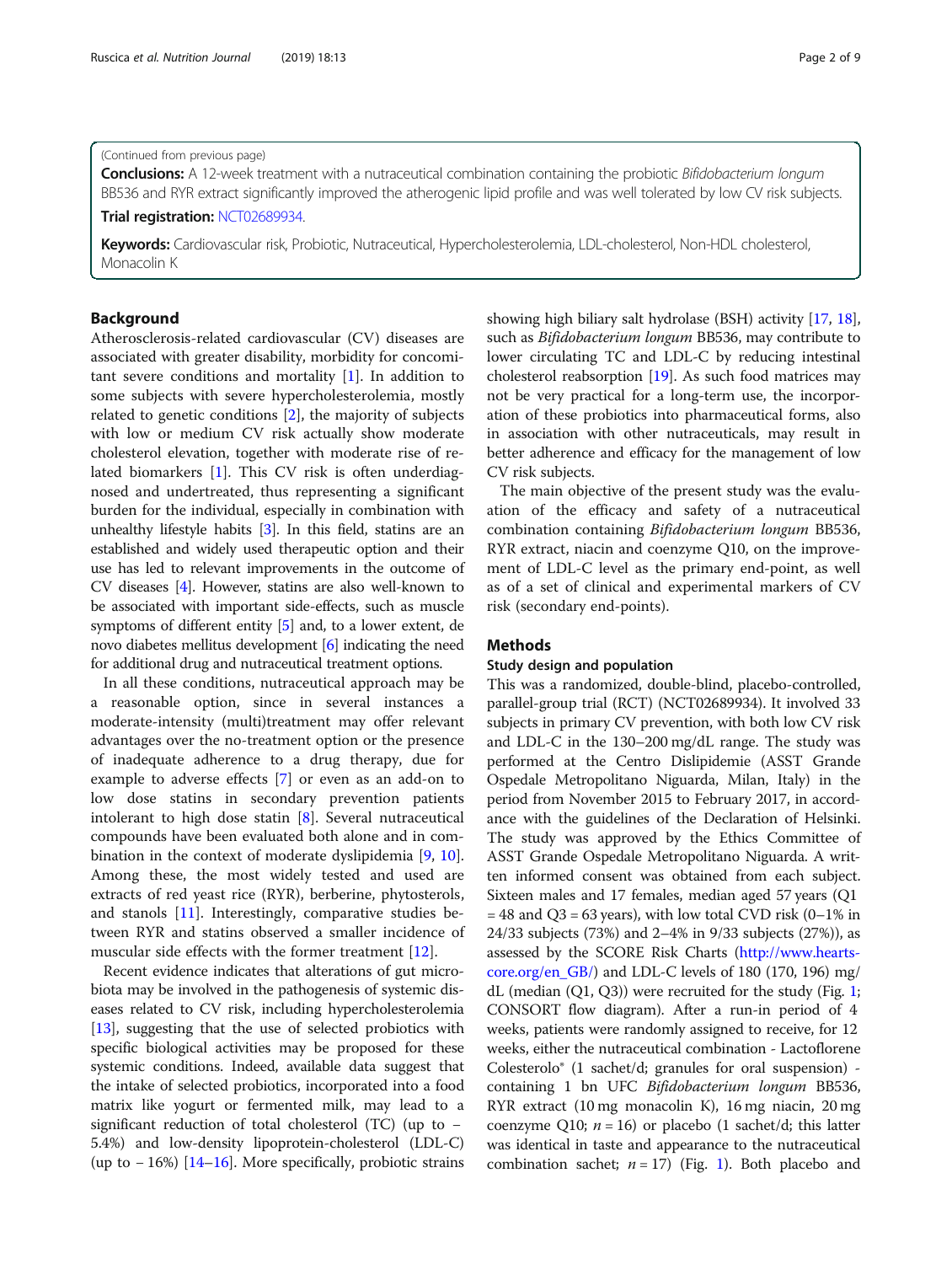#### (Continued from previous page)

Conclusions: A 12-week treatment with a nutraceutical combination containing the probiotic Bifidobacterium longum BB536 and RYR extract significantly improved the atherogenic lipid profile and was well tolerated by low CV risk subjects. Trial registration: [NCT02689934](https://clinicaltrials.gov/ct2/show/NCT02689934).

Keywords: Cardiovascular risk, Probiotic, Nutraceutical, Hypercholesterolemia, LDL-cholesterol, Non-HDL cholesterol, Monacolin K

# Background

Atherosclerosis-related cardiovascular (CV) diseases are associated with greater disability, morbidity for concomitant severe conditions and mortality  $[1]$  $[1]$ . In addition to some subjects with severe hypercholesterolemia, mostly related to genetic conditions [\[2](#page-7-0)], the majority of subjects with low or medium CV risk actually show moderate cholesterol elevation, together with moderate rise of related biomarkers [[1](#page-7-0)]. This CV risk is often underdiagnosed and undertreated, thus representing a significant burden for the individual, especially in combination with unhealthy lifestyle habits [\[3\]](#page-7-0). In this field, statins are an established and widely used therapeutic option and their use has led to relevant improvements in the outcome of CV diseases [[4](#page-7-0)]. However, statins are also well-known to be associated with important side-effects, such as muscle symptoms of different entity [\[5](#page-7-0)] and, to a lower extent, de novo diabetes mellitus development [\[6](#page-7-0)] indicating the need for additional drug and nutraceutical treatment options.

In all these conditions, nutraceutical approach may be a reasonable option, since in several instances a moderate-intensity (multi)treatment may offer relevant advantages over the no-treatment option or the presence of inadequate adherence to a drug therapy, due for example to adverse effects [[7\]](#page-7-0) or even as an add-on to low dose statins in secondary prevention patients intolerant to high dose statin [\[8](#page-7-0)]. Several nutraceutical compounds have been evaluated both alone and in combination in the context of moderate dyslipidemia [\[9](#page-7-0), [10](#page-7-0)]. Among these, the most widely tested and used are extracts of red yeast rice (RYR), berberine, phytosterols, and stanols [\[11](#page-7-0)]. Interestingly, comparative studies between RYR and statins observed a smaller incidence of muscular side effects with the former treatment [[12\]](#page-7-0).

Recent evidence indicates that alterations of gut microbiota may be involved in the pathogenesis of systemic diseases related to CV risk, including hypercholesterolemia [[13](#page-7-0)], suggesting that the use of selected probiotics with specific biological activities may be proposed for these systemic conditions. Indeed, available data suggest that the intake of selected probiotics, incorporated into a food matrix like yogurt or fermented milk, may lead to a significant reduction of total cholesterol (TC) (up to − 5.4%) and low-density lipoprotein-cholesterol (LDL-C) (up to − 16%) [\[14](#page-7-0)–[16](#page-7-0)]. More specifically, probiotic strains

showing high biliary salt hydrolase (BSH) activity [\[17,](#page-7-0) [18](#page-7-0)], such as Bifidobacterium longum BB536, may contribute to lower circulating TC and LDL-C by reducing intestinal cholesterol reabsorption [[19](#page-7-0)]. As such food matrices may not be very practical for a long-term use, the incorporation of these probiotics into pharmaceutical forms, also in association with other nutraceuticals, may result in better adherence and efficacy for the management of low CV risk subjects.

The main objective of the present study was the evaluation of the efficacy and safety of a nutraceutical combination containing Bifidobacterium longum BB536, RYR extract, niacin and coenzyme Q10, on the improvement of LDL-C level as the primary end-point, as well as of a set of clinical and experimental markers of CV risk (secondary end-points).

### **Methods**

#### Study design and population

This was a randomized, double-blind, placebo-controlled, parallel-group trial (RCT) (NCT02689934). It involved 33 subjects in primary CV prevention, with both low CV risk and LDL-C in the 130–200 mg/dL range. The study was performed at the Centro Dislipidemie (ASST Grande Ospedale Metropolitano Niguarda, Milan, Italy) in the period from November 2015 to February 2017, in accordance with the guidelines of the Declaration of Helsinki. The study was approved by the Ethics Committee of ASST Grande Ospedale Metropolitano Niguarda. A written informed consent was obtained from each subject. Sixteen males and 17 females, median aged 57 years (Q1  $= 48$  and Q3 = 63 years), with low total CVD risk (0–1% in 24/33 subjects (73%) and 2–4% in 9/33 subjects (27%)), as assessed by the SCORE Risk Charts ([http://www.hearts](http://www.heartscore.org/en_GB/)[core.org/en\\_GB/](http://www.heartscore.org/en_GB/)) and LDL-C levels of 180 (170, 196) mg/ dL (median (Q1, Q3)) were recruited for the study (Fig. [1](#page-2-0); CONSORT flow diagram). After a run-in period of 4 weeks, patients were randomly assigned to receive, for 12 weeks, either the nutraceutical combination - Lactoflorene Colesterolo® (1 sachet/d; granules for oral suspension) containing 1 bn UFC Bifidobacterium longum BB536, RYR extract (10 mg monacolin K), 16 mg niacin, 20 mg coenzyme Q10;  $n = 16$ ) or placebo (1 sachet/d; this latter was identical in taste and appearance to the nutraceutical combination sachet;  $n = 17$ ) (Fig. [1\)](#page-2-0). Both placebo and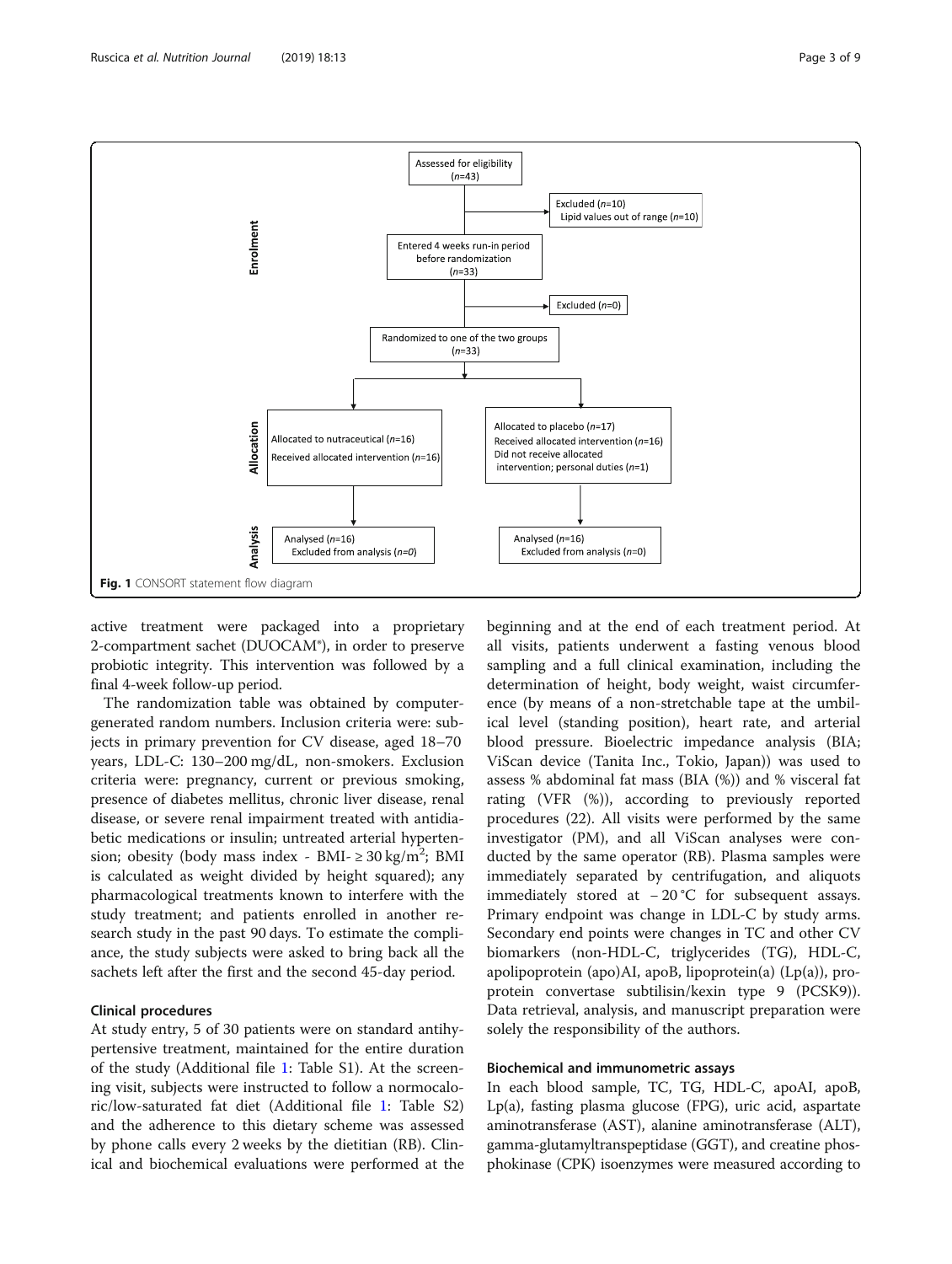

<span id="page-2-0"></span>

active treatment were packaged into a proprietary 2-compartment sachet (DUOCAM®), in order to preserve probiotic integrity. This intervention was followed by a final 4-week follow-up period.

The randomization table was obtained by computergenerated random numbers. Inclusion criteria were: subjects in primary prevention for CV disease, aged 18–70 years, LDL-C: 130–200 mg/dL, non-smokers. Exclusion criteria were: pregnancy, current or previous smoking, presence of diabetes mellitus, chronic liver disease, renal disease, or severe renal impairment treated with antidiabetic medications or insulin; untreated arterial hypertension; obesity (body mass index - BMI-  $\geq 30 \text{ kg/m}^2$ ; BMI is calculated as weight divided by height squared); any pharmacological treatments known to interfere with the study treatment; and patients enrolled in another research study in the past 90 days. To estimate the compliance, the study subjects were asked to bring back all the sachets left after the first and the second 45-day period.

### Clinical procedures

At study entry, 5 of 30 patients were on standard antihypertensive treatment, maintained for the entire duration of the study (Additional file [1:](#page-6-0) Table S1). At the screening visit, subjects were instructed to follow a normocaloric/low-saturated fat diet (Additional file [1:](#page-6-0) Table S2) and the adherence to this dietary scheme was assessed by phone calls every 2 weeks by the dietitian (RB). Clinical and biochemical evaluations were performed at the

beginning and at the end of each treatment period. At all visits, patients underwent a fasting venous blood sampling and a full clinical examination, including the determination of height, body weight, waist circumference (by means of a non-stretchable tape at the umbilical level (standing position), heart rate, and arterial blood pressure. Bioelectric impedance analysis (BIA; ViScan device (Tanita Inc., Tokio, Japan)) was used to assess % abdominal fat mass (BIA (%)) and % visceral fat rating (VFR (%)), according to previously reported procedures (22). All visits were performed by the same investigator (PM), and all ViScan analyses were conducted by the same operator (RB). Plasma samples were immediately separated by centrifugation, and aliquots immediately stored at − 20 °C for subsequent assays. Primary endpoint was change in LDL-C by study arms. Secondary end points were changes in TC and other CV biomarkers (non-HDL-C, triglycerides (TG), HDL-C, apolipoprotein (apo)AI, apoB, lipoprotein(a) (Lp(a)), proprotein convertase subtilisin/kexin type 9 (PCSK9)). Data retrieval, analysis, and manuscript preparation were solely the responsibility of the authors.

# Biochemical and immunometric assays

In each blood sample, TC, TG, HDL-C, apoAI, apoB, Lp(a), fasting plasma glucose (FPG), uric acid, aspartate aminotransferase (AST), alanine aminotransferase (ALT), gamma-glutamyltranspeptidase (GGT), and creatine phosphokinase (CPK) isoenzymes were measured according to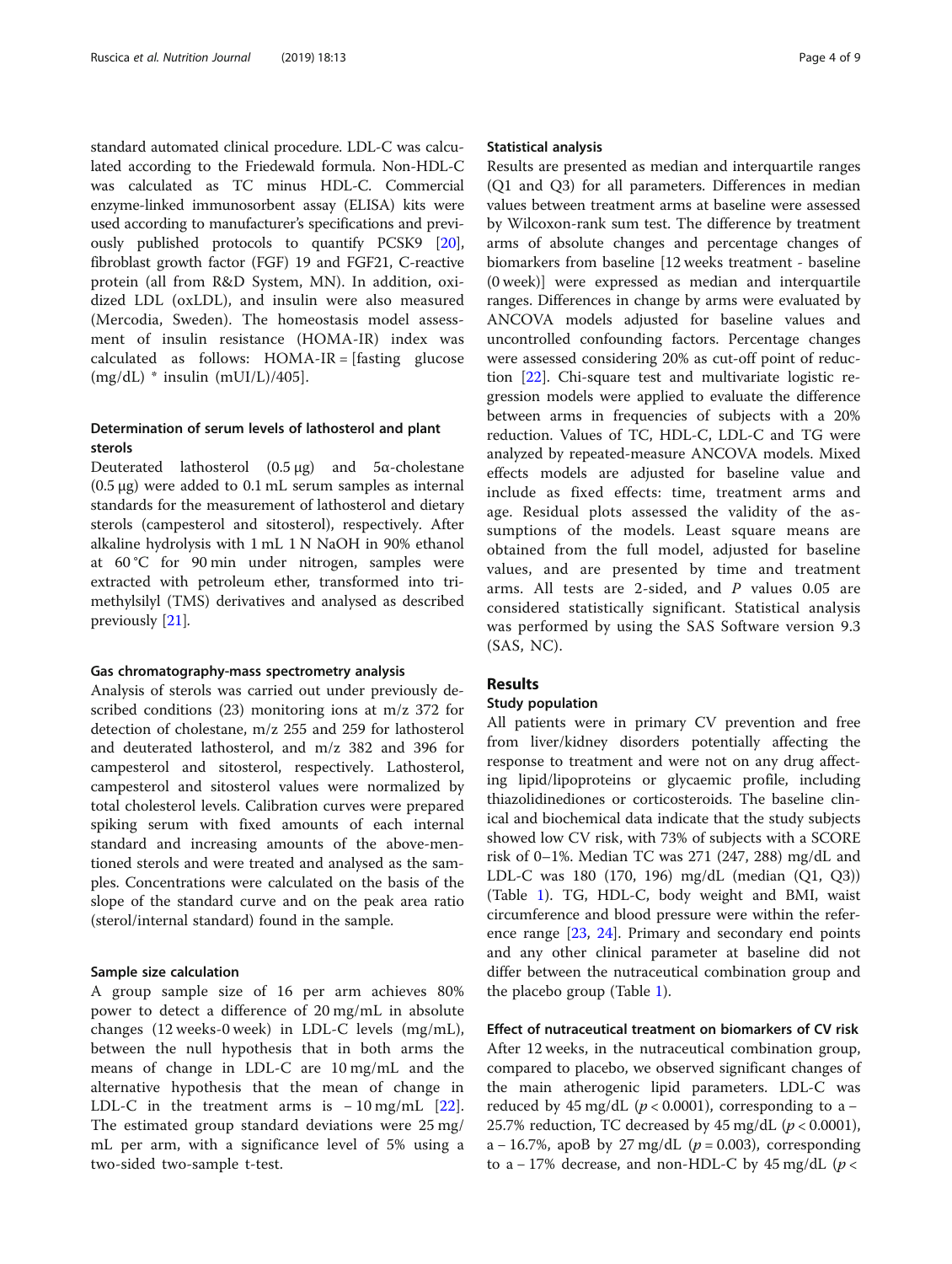standard automated clinical procedure. LDL-C was calculated according to the Friedewald formula. Non-HDL-C was calculated as TC minus HDL-C. Commercial enzyme-linked immunosorbent assay (ELISA) kits were used according to manufacturer's specifications and previously published protocols to quantify PCSK9 [[20](#page-7-0)], fibroblast growth factor (FGF) 19 and FGF21, C-reactive protein (all from R&D System, MN). In addition, oxidized LDL (oxLDL), and insulin were also measured (Mercodia, Sweden). The homeostasis model assessment of insulin resistance (HOMA-IR) index was calculated as follows: HOMA-IR = [fasting glucose  $(mg/dL)$  \* insulin  $(mUI/L)/405$ ].

# Determination of serum levels of lathosterol and plant sterols

Deuterated lathosterol  $(0.5 \mu g)$  and  $5\alpha$ -cholestane (0.5 μg) were added to 0.1 mL serum samples as internal standards for the measurement of lathosterol and dietary sterols (campesterol and sitosterol), respectively. After alkaline hydrolysis with 1 mL 1 N NaOH in 90% ethanol at 60 °C for 90 min under nitrogen, samples were extracted with petroleum ether, transformed into trimethylsilyl (TMS) derivatives and analysed as described previously [\[21](#page-7-0)].

#### Gas chromatography-mass spectrometry analysis

Analysis of sterols was carried out under previously described conditions (23) monitoring ions at m/z 372 for detection of cholestane, m/z 255 and 259 for lathosterol and deuterated lathosterol, and m/z 382 and 396 for campesterol and sitosterol, respectively. Lathosterol, campesterol and sitosterol values were normalized by total cholesterol levels. Calibration curves were prepared spiking serum with fixed amounts of each internal standard and increasing amounts of the above-mentioned sterols and were treated and analysed as the samples. Concentrations were calculated on the basis of the slope of the standard curve and on the peak area ratio (sterol/internal standard) found in the sample.

#### Sample size calculation

A group sample size of 16 per arm achieves 80% power to detect a difference of 20 mg/mL in absolute changes (12 weeks-0 week) in LDL-C levels (mg/mL), between the null hypothesis that in both arms the means of change in LDL-C are 10 mg/mL and the alternative hypothesis that the mean of change in LDL-C in the treatment arms is  $-10$  mg/mL [\[22](#page-7-0)]. The estimated group standard deviations were 25 mg/ mL per arm, with a significance level of 5% using a two-sided two-sample t-test.

#### Statistical analysis

Results are presented as median and interquartile ranges (Q1 and Q3) for all parameters. Differences in median values between treatment arms at baseline were assessed by Wilcoxon-rank sum test. The difference by treatment arms of absolute changes and percentage changes of biomarkers from baseline [12 weeks treatment - baseline (0 week)] were expressed as median and interquartile ranges. Differences in change by arms were evaluated by ANCOVA models adjusted for baseline values and uncontrolled confounding factors. Percentage changes were assessed considering 20% as cut-off point of reduction [\[22](#page-7-0)]. Chi-square test and multivariate logistic regression models were applied to evaluate the difference between arms in frequencies of subjects with a 20% reduction. Values of TC, HDL-C, LDL-C and TG were analyzed by repeated-measure ANCOVA models. Mixed effects models are adjusted for baseline value and include as fixed effects: time, treatment arms and age. Residual plots assessed the validity of the assumptions of the models. Least square means are obtained from the full model, adjusted for baseline values, and are presented by time and treatment arms. All tests are 2-sided, and  $P$  values 0.05 are considered statistically significant. Statistical analysis was performed by using the SAS Software version 9.3 (SAS, NC).

## Results

#### Study population

All patients were in primary CV prevention and free from liver/kidney disorders potentially affecting the response to treatment and were not on any drug affecting lipid/lipoproteins or glycaemic profile, including thiazolidinediones or corticosteroids. The baseline clinical and biochemical data indicate that the study subjects showed low CV risk, with 73% of subjects with a SCORE risk of 0–1%. Median TC was 271 (247, 288) mg/dL and LDL-C was 180 (170, 196) mg/dL (median (Q1, Q3)) (Table [1\)](#page-4-0). TG, HDL-C, body weight and BMI, waist circumference and blood pressure were within the reference range [[23](#page-7-0), [24](#page-7-0)]. Primary and secondary end points and any other clinical parameter at baseline did not differ between the nutraceutical combination group and the placebo group (Table [1\)](#page-4-0).

Effect of nutraceutical treatment on biomarkers of CV risk After 12 weeks, in the nutraceutical combination group, compared to placebo, we observed significant changes of the main atherogenic lipid parameters. LDL-C was reduced by 45 mg/dL ( $p < 0.0001$ ), corresponding to a – 25.7% reduction, TC decreased by 45 mg/dL  $(p < 0.0001)$ , a – 16.7%, apoB by 27 mg/dL ( $p = 0.003$ ), corresponding to a – 17% decrease, and non-HDL-C by 45 mg/dL ( $p$  <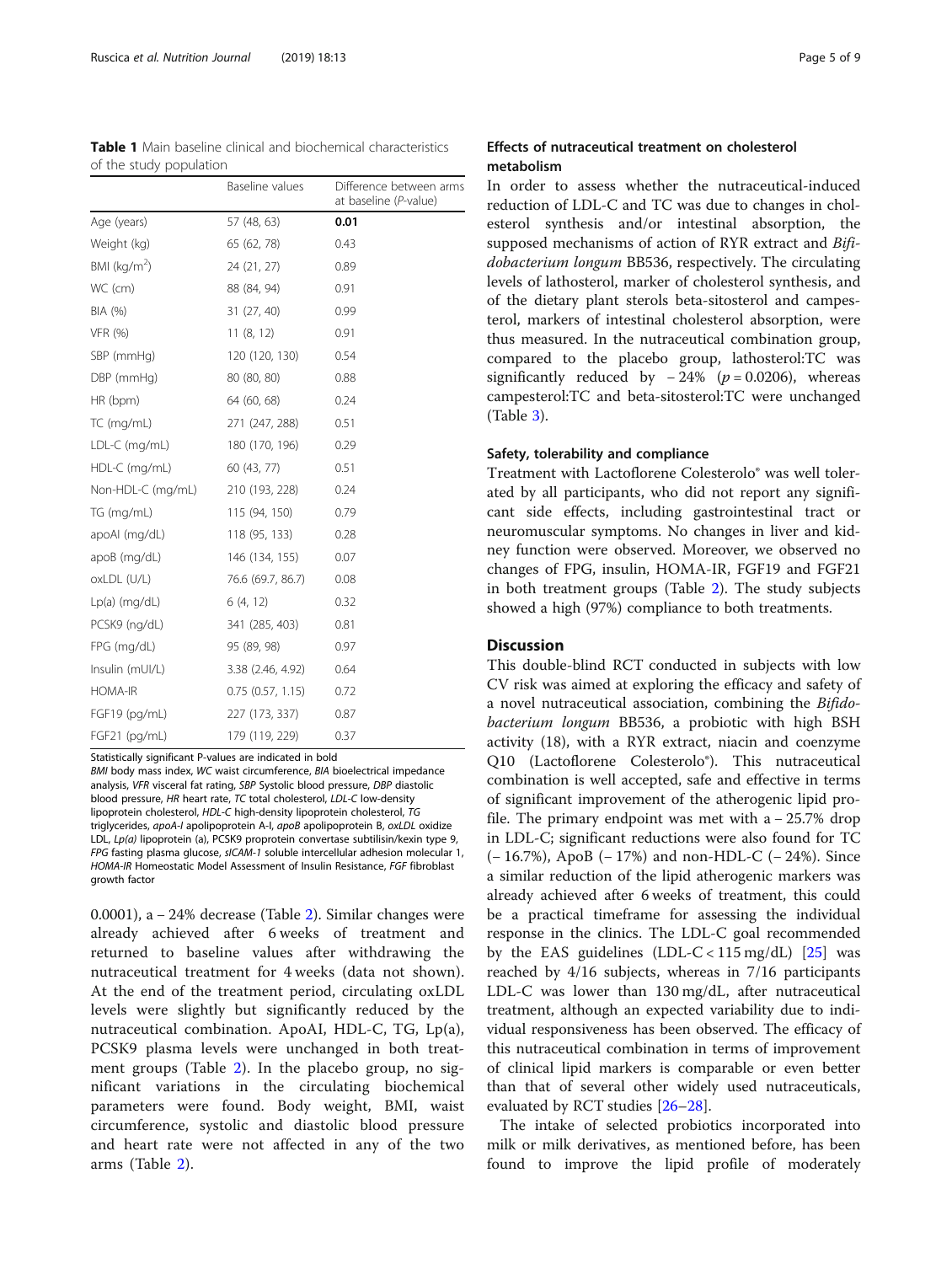<span id="page-4-0"></span>

|                         |  | <b>Table 1</b> Main baseline clinical and biochemical characteristics |
|-------------------------|--|-----------------------------------------------------------------------|
| of the study population |  |                                                                       |

|                   | Baseline values       | Difference between arms<br>at baseline (P-value) |
|-------------------|-----------------------|--------------------------------------------------|
| Age (years)       | 57 (48, 63)           | 0.01                                             |
| Weight (kg)       | 65 (62, 78)           | 0.43                                             |
| BMI ( $kg/m2$ )   | 24 (21, 27)           | 0.89                                             |
| WC (cm)           | 88 (84, 94)           | 0.91                                             |
| BIA (%)           | 31 (27, 40)           | 0.99                                             |
| <b>VFR (%)</b>    | 11(8, 12)             | 0.91                                             |
| SBP (mmHg)        | 120 (120, 130)        | 0.54                                             |
| DBP (mmHg)        | 80 (80, 80)           | 0.88                                             |
| HR (bpm)          | 64 (60, 68)           | 0.24                                             |
| TC (mg/mL)        | 271 (247, 288)        | 0.51                                             |
| LDL-C (mg/mL)     | 180 (170, 196)        | 0.29                                             |
| HDL-C (mg/mL)     | 60 (43, 77)           | 0.51                                             |
| Non-HDL-C (mg/mL) | 210 (193, 228)        | 0.24                                             |
| TG (mg/mL)        | 115 (94, 150)         | 0.79                                             |
| apoAI (mg/dL)     | 118 (95, 133)         | 0.28                                             |
| apoB (mg/dL)      | 146 (134, 155)        | 0.07                                             |
| oxLDL (U/L)       | 76.6 (69.7, 86.7)     | 0.08                                             |
| Lp(a) (mg/dL)     | 6(4, 12)              | 0.32                                             |
| PCSK9 (ng/dL)     | 341 (285, 403)        | 0.81                                             |
| FPG (mg/dL)       | 95 (89, 98)           | 0.97                                             |
| Insulin (mUI/L)   | 3.38 (2.46, 4.92)     | 0.64                                             |
| <b>HOMA-IR</b>    | $0.75$ $(0.57, 1.15)$ | 0.72                                             |
| $FGF19$ (pg/mL)   | 227 (173, 337)        | 0.87                                             |
| FGF21 (pg/mL)     | 179 (119, 229)        | 0.37                                             |

Statistically significant P-values are indicated in bold

BMI body mass index, WC waist circumference, BIA bioelectrical impedance analysis, VFR visceral fat rating, SBP Systolic blood pressure, DBP diastolic blood pressure, HR heart rate, TC total cholesterol, LDL-C low-density lipoprotein cholesterol, HDL-C high-density lipoprotein cholesterol, TG triglycerides, apoA-I apolipoprotein A-I, apoB apolipoprotein B, oxLDL oxidize LDL, Lp(a) lipoprotein (a), PCSK9 proprotein convertase subtilisin/kexin type 9, FPG fasting plasma glucose, sICAM-1 soluble intercellular adhesion molecular 1, HOMA-IR Homeostatic Model Assessment of Insulin Resistance, FGF fibroblast growth factor

0.0001), a − 24% decrease (Table [2\)](#page-5-0). Similar changes were already achieved after 6 weeks of treatment and returned to baseline values after withdrawing the nutraceutical treatment for 4 weeks (data not shown). At the end of the treatment period, circulating oxLDL levels were slightly but significantly reduced by the nutraceutical combination. ApoAI, HDL-C, TG, Lp(a), PCSK9 plasma levels were unchanged in both treatment groups (Table [2](#page-5-0)). In the placebo group, no significant variations in the circulating biochemical parameters were found. Body weight, BMI, waist circumference, systolic and diastolic blood pressure and heart rate were not affected in any of the two arms (Table [2\)](#page-5-0).

# Effects of nutraceutical treatment on cholesterol metabolism

In order to assess whether the nutraceutical-induced reduction of LDL-C and TC was due to changes in cholesterol synthesis and/or intestinal absorption, the supposed mechanisms of action of RYR extract and Bifidobacterium longum BB536, respectively. The circulating levels of lathosterol, marker of cholesterol synthesis, and of the dietary plant sterols beta-sitosterol and campesterol, markers of intestinal cholesterol absorption, were thus measured. In the nutraceutical combination group, compared to the placebo group, lathosterol:TC was significantly reduced by  $-24\%$  ( $p = 0.0206$ ), whereas campesterol:TC and beta-sitosterol:TC were unchanged (Table [3\)](#page-5-0).

#### Safety, tolerability and compliance

Treatment with Lactoflorene Colesterolo® was well tolerated by all participants, who did not report any significant side effects, including gastrointestinal tract or neuromuscular symptoms. No changes in liver and kidney function were observed. Moreover, we observed no changes of FPG, insulin, HOMA-IR, FGF19 and FGF21 in both treatment groups (Table [2](#page-5-0)). The study subjects showed a high (97%) compliance to both treatments.

### **Discussion**

This double-blind RCT conducted in subjects with low CV risk was aimed at exploring the efficacy and safety of a novel nutraceutical association, combining the Bifidobacterium longum BB536, a probiotic with high BSH activity (18), with a RYR extract, niacin and coenzyme Q10 (Lactoflorene Colesterolo®). This nutraceutical combination is well accepted, safe and effective in terms of significant improvement of the atherogenic lipid profile. The primary endpoint was met with a − 25.7% drop in LDL-C; significant reductions were also found for TC (− 16.7%), ApoB (− 17%) and non-HDL-C (− 24%). Since a similar reduction of the lipid atherogenic markers was already achieved after 6 weeks of treatment, this could be a practical timeframe for assessing the individual response in the clinics. The LDL-C goal recommended by the EAS guidelines  $(LDL-C < 115 \text{ mg/dL})$  [[25\]](#page-7-0) was reached by 4/16 subjects, whereas in 7/16 participants LDL-C was lower than 130 mg/dL, after nutraceutical treatment, although an expected variability due to individual responsiveness has been observed. The efficacy of this nutraceutical combination in terms of improvement of clinical lipid markers is comparable or even better than that of several other widely used nutraceuticals, evaluated by RCT studies [\[26](#page-7-0)–[28](#page-8-0)].

The intake of selected probiotics incorporated into milk or milk derivatives, as mentioned before, has been found to improve the lipid profile of moderately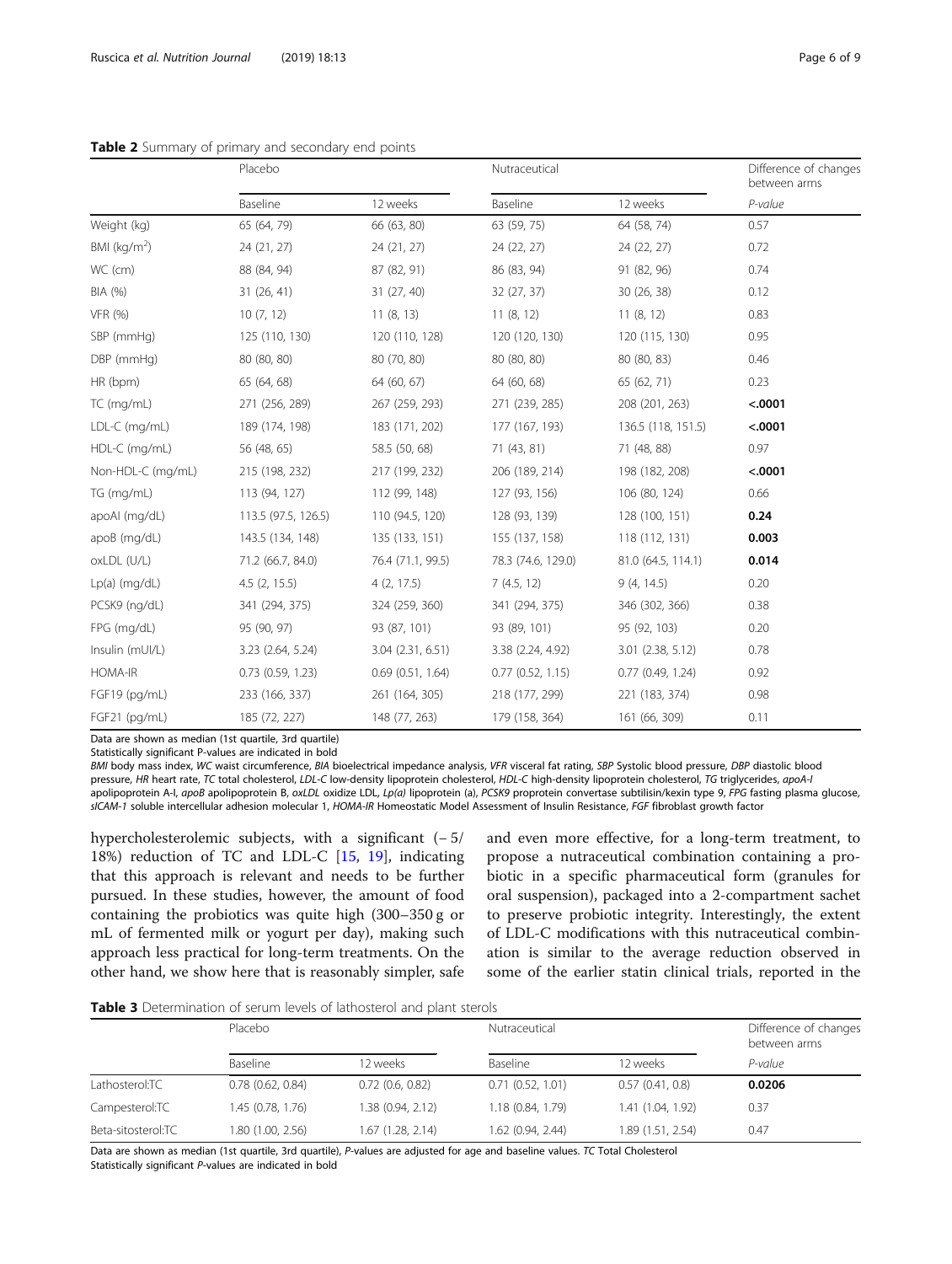<span id="page-5-0"></span>

|                         | Placebo        |                |                | Nutraceutical      |         |
|-------------------------|----------------|----------------|----------------|--------------------|---------|
|                         | Baseline       | 12 weeks       | Baseline       | 12 weeks           | P-value |
| Weight (kg)             | 65 (64, 79)    | 66 (63, 80)    | 63 (59, 75)    | 64 (58, 74)        | 0.57    |
| BMI ( $\text{kg/m}^2$ ) | 24 (21, 27)    | 24 (21, 27)    | 24 (22, 27)    | 24 (22, 27)        | 0.72    |
| WC (cm)                 | 88 (84, 94)    | 87 (82, 91)    | 86 (83, 94)    | 91 (82, 96)        | 0.74    |
| BIA (%)                 | 31(26, 41)     | 31(27, 40)     | 32(27, 37)     | 30(26, 38)         | 0.12    |
| VFR (%)                 | 10(7, 12)      | 11(8, 13)      | 11(8, 12)      | 11(8, 12)          | 0.83    |
| SBP (mmHg)              | 125 (110, 130) | 120 (110, 128) | 120 (120, 130) | 120 (115, 130)     | 0.95    |
| DBP (mmHg)              | 80 (80, 80)    | 80 (70, 80)    | 80 (80, 80)    | 80 (80, 83)        | 0.46    |
| HR (bpm)                | 65 (64, 68)    | 64 (60, 67)    | 64 (60, 68)    | 65 (62, 71)        | 0.23    |
| TC (mg/mL)              | 271 (256, 289) | 267 (259, 293) | 271 (239, 285) | 208 (201, 263)     | < .0001 |
| LDL-C (mg/mL)           | 189 (174, 198) | 183 (171, 202) | 177 (167, 193) | 136.5 (118, 151.5) | < .0001 |
| $HDL-C$ (mg/mL)         | 56 (48, 65)    | 58.5 (50, 68)  | 71 (43, 81)    | 71 (48, 88)        | 0.97    |

Table 2 Summary of prim

Data are shown as median (1st quartile, 3rd quartile)

Statistically significant P-values are indicated in bold

BMI body mass index, WC waist circumference, BIA bioelectrical impedance analysis, VFR visceral fat rating, SBP Systolic blood pressure, DBP diastolic blood pressure, HR heart rate, TC total cholesterol, LDL-C low-density lipoprotein cholesterol, HDL-C high-density lipoprotein cholesterol, TG triglycerides, apoA-I apolipoprotein A-I, apoB apolipoprotein B, oxLDL oxidize LDL, Lp(a) lipoprotein (a), PCSK9 proprotein convertase subtilisin/kexin type 9, FPG fasting plasma glucose, sICAM-1 soluble intercellular adhesion molecular 1, HOMA-IR Homeostatic Model Assessment of Insulin Resistance, FGF fibroblast growth factor

Non-HDL-C (mg/mL) 215 (198, 232) 217 (199, 232) 206 (189, 214) 198 (182, 208) <.0001 TG (mg/mL) 113 (94, 127) 112 (99, 148) 127 (93, 156) 106 (80, 124) 0.66 apoAI (mg/dL) 113.5 (97.5, 126.5) 110 (94.5, 120) 128 (93, 139) 128 (100, 151) **0.24** apoB (mg/dL) 143.5 (134, 148) 135 (133, 151) 155 (137, 158) 118 (112, 131) **0.003** oxLDL (U/L) 71.2 (66.7, 84.0) 76.4 (71.1, 99.5) 78.3 (74.6, 129.0) 81.0 (64.5, 114.1) 0.014 Lp(a) (mg/dL) 4.5 (2, 15.5) 4 (2, 17.5) 7 (4.5, 12) 9 (4, 14.5) 0.20 PCSK9 (ng/dL) 341 (294, 375) 324 (259, 360) 341 (294, 375) 346 (302, 366) 0.38 FPG (mg/dL) 95 (90, 97) 93 (87, 101) 93 (89, 101) 95 (92, 103) 0.20 Insulin (mUI/L) 3.23 (2.64, 5.24) 3.04 (2.31, 6.51) 3.38 (2.24, 4.92) 3.01 (2.38, 5.12) 0.78 HOMA-IR 0.73 (0.59, 1.23) 0.69 (0.51, 1.64) 0.77 (0.52, 1.15) 0.77 (0.49, 1.24) 0.92 FGF19 (pg/mL) 233 (166, 337) 261 (164, 305) 218 (177, 299) 221 (183, 374) 0.98 FGF21 (pg/mL) 185 (72, 227) 148 (77, 263) 179 (158, 364) 161 (66, 309) 0.11

hypercholesterolemic subjects, with a significant  $(-5)$ 18%) reduction of TC and LDL-C [\[15,](#page-7-0) [19\]](#page-7-0), indicating that this approach is relevant and needs to be further pursued. In these studies, however, the amount of food containing the probiotics was quite high (300–350 g or mL of fermented milk or yogurt per day), making such approach less practical for long-term treatments. On the other hand, we show here that is reasonably simpler, safe

and even more effective, for a long-term treatment, to propose a nutraceutical combination containing a probiotic in a specific pharmaceutical form (granules for oral suspension), packaged into a 2-compartment sachet to preserve probiotic integrity. Interestingly, the extent of LDL-C modifications with this nutraceutical combination is similar to the average reduction observed in some of the earlier statin clinical trials, reported in the

Table 3 Determination of serum levels of lathosterol and plant sterols

|                    | Placebo               |                   |                   | Nutraceutical     |         |
|--------------------|-----------------------|-------------------|-------------------|-------------------|---------|
|                    | Baseline              | 12 weeks          | Baseline          | 12 weeks          | P-value |
| Lathosterol:TC     | $0.78$ $(0.62, 0.84)$ | 0.72(0.6, 0.82)   | 0.71(0.52, 1.01)  | 0.57(0.41, 0.8)   | 0.0206  |
| Campesterol:TC     | 1.45 (0.78, 1.76)     | 1.38 (0.94, 2.12) | 1.18 (0.84, 1.79) | 1.41 (1.04, 1.92) | 0.37    |
| Beta-sitosterol:TC | 1.80 (1.00, 2.56)     | 1.67 (1.28, 2.14) | 1.62 (0.94, 2.44) | 1.89(1.51, 2.54)  | 0.47    |

Data are shown as median (1st quartile, 3rd quartile), P-values are adjusted for age and baseline values. TC Total Cholesterol Statistically significant P-values are indicated in bold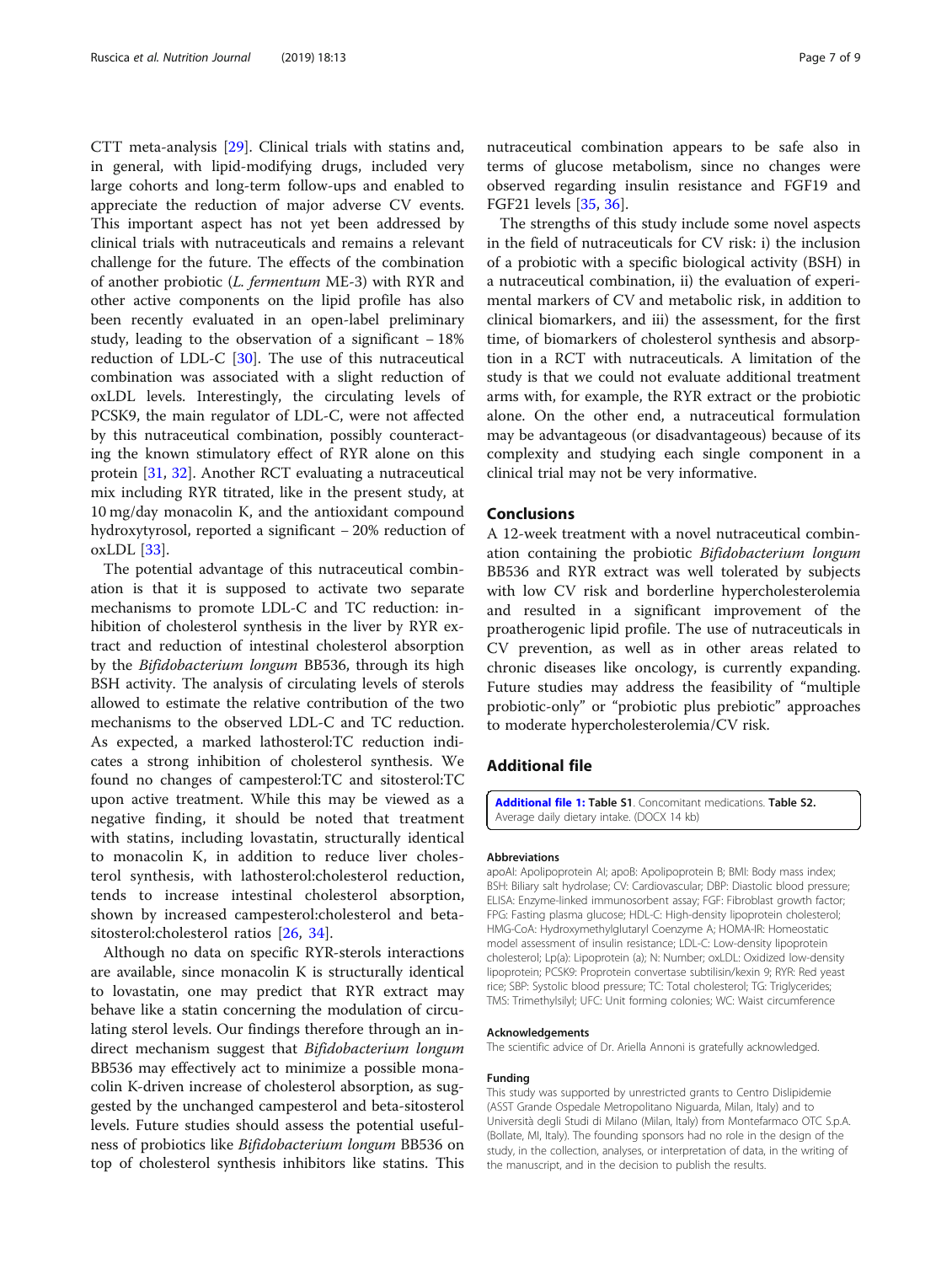<span id="page-6-0"></span>CTT meta-analysis [[29\]](#page-8-0). Clinical trials with statins and, in general, with lipid-modifying drugs, included very large cohorts and long-term follow-ups and enabled to appreciate the reduction of major adverse CV events. This important aspect has not yet been addressed by clinical trials with nutraceuticals and remains a relevant challenge for the future. The effects of the combination of another probiotic (L. fermentum ME-3) with RYR and other active components on the lipid profile has also been recently evaluated in an open-label preliminary study, leading to the observation of a significant − 18% reduction of LDL-C [\[30](#page-8-0)]. The use of this nutraceutical combination was associated with a slight reduction of oxLDL levels. Interestingly, the circulating levels of PCSK9, the main regulator of LDL-C, were not affected by this nutraceutical combination, possibly counteracting the known stimulatory effect of RYR alone on this protein [\[31](#page-8-0), [32](#page-8-0)]. Another RCT evaluating a nutraceutical mix including RYR titrated, like in the present study, at 10 mg/day monacolin K, and the antioxidant compound hydroxytyrosol, reported a significant − 20% reduction of oxLDL [[33\]](#page-8-0).

The potential advantage of this nutraceutical combination is that it is supposed to activate two separate mechanisms to promote LDL-C and TC reduction: inhibition of cholesterol synthesis in the liver by RYR extract and reduction of intestinal cholesterol absorption by the Bifidobacterium longum BB536, through its high BSH activity. The analysis of circulating levels of sterols allowed to estimate the relative contribution of the two mechanisms to the observed LDL-C and TC reduction. As expected, a marked lathosterol:TC reduction indicates a strong inhibition of cholesterol synthesis. We found no changes of campesterol:TC and sitosterol:TC upon active treatment. While this may be viewed as a negative finding, it should be noted that treatment with statins, including lovastatin, structurally identical to monacolin K, in addition to reduce liver cholesterol synthesis, with lathosterol:cholesterol reduction, tends to increase intestinal cholesterol absorption, shown by increased campesterol:cholesterol and betasitosterol:cholesterol ratios [[26,](#page-7-0) [34](#page-8-0)].

Although no data on specific RYR-sterols interactions are available, since monacolin K is structurally identical to lovastatin, one may predict that RYR extract may behave like a statin concerning the modulation of circulating sterol levels. Our findings therefore through an indirect mechanism suggest that Bifidobacterium longum BB536 may effectively act to minimize a possible monacolin K-driven increase of cholesterol absorption, as suggested by the unchanged campesterol and beta-sitosterol levels. Future studies should assess the potential usefulness of probiotics like Bifidobacterium longum BB536 on top of cholesterol synthesis inhibitors like statins. This

nutraceutical combination appears to be safe also in terms of glucose metabolism, since no changes were observed regarding insulin resistance and FGF19 and FGF21 levels [\[35](#page-8-0), [36](#page-8-0)].

The strengths of this study include some novel aspects in the field of nutraceuticals for CV risk: i) the inclusion of a probiotic with a specific biological activity (BSH) in a nutraceutical combination, ii) the evaluation of experimental markers of CV and metabolic risk, in addition to clinical biomarkers, and iii) the assessment, for the first time, of biomarkers of cholesterol synthesis and absorption in a RCT with nutraceuticals. A limitation of the study is that we could not evaluate additional treatment arms with, for example, the RYR extract or the probiotic alone. On the other end, a nutraceutical formulation may be advantageous (or disadvantageous) because of its complexity and studying each single component in a clinical trial may not be very informative.

### Conclusions

A 12-week treatment with a novel nutraceutical combination containing the probiotic Bifidobacterium longum BB536 and RYR extract was well tolerated by subjects with low CV risk and borderline hypercholesterolemia and resulted in a significant improvement of the proatherogenic lipid profile. The use of nutraceuticals in CV prevention, as well as in other areas related to chronic diseases like oncology, is currently expanding. Future studies may address the feasibility of "multiple probiotic-only" or "probiotic plus prebiotic" approaches to moderate hypercholesterolemia/CV risk.

# Additional file

[Additional file 1:](https://doi.org/10.1186/s12937-019-0438-2) Table S1. Concomitant medications. Table S2. Average daily dietary intake. (DOCX 14 kb)

#### Abbreviations

apoAI: Apolipoprotein AI; apoB: Apolipoprotein B; BMI: Body mass index; BSH: Biliary salt hydrolase; CV: Cardiovascular; DBP: Diastolic blood pressure; ELISA: Enzyme-linked immunosorbent assay; FGF: Fibroblast growth factor; FPG: Fasting plasma glucose; HDL-C: High-density lipoprotein cholesterol; HMG-CoA: Hydroxymethylglutaryl Coenzyme A; HOMA-IR: Homeostatic model assessment of insulin resistance; LDL-C: Low-density lipoprotein cholesterol; Lp(a): Lipoprotein (a); N: Number; oxLDL: Oxidized low-density lipoprotein; PCSK9: Proprotein convertase subtilisin/kexin 9; RYR: Red yeast rice; SBP: Systolic blood pressure; TC: Total cholesterol; TG: Triglycerides; TMS: Trimethylsilyl; UFC: Unit forming colonies; WC: Waist circumference

#### Acknowledgements

The scientific advice of Dr. Ariella Annoni is gratefully acknowledged.

#### Funding

This study was supported by unrestricted grants to Centro Dislipidemie (ASST Grande Ospedale Metropolitano Niguarda, Milan, Italy) and to Università degli Studi di Milano (Milan, Italy) from Montefarmaco OTC S.p.A. (Bollate, MI, Italy). The founding sponsors had no role in the design of the study, in the collection, analyses, or interpretation of data, in the writing of the manuscript, and in the decision to publish the results.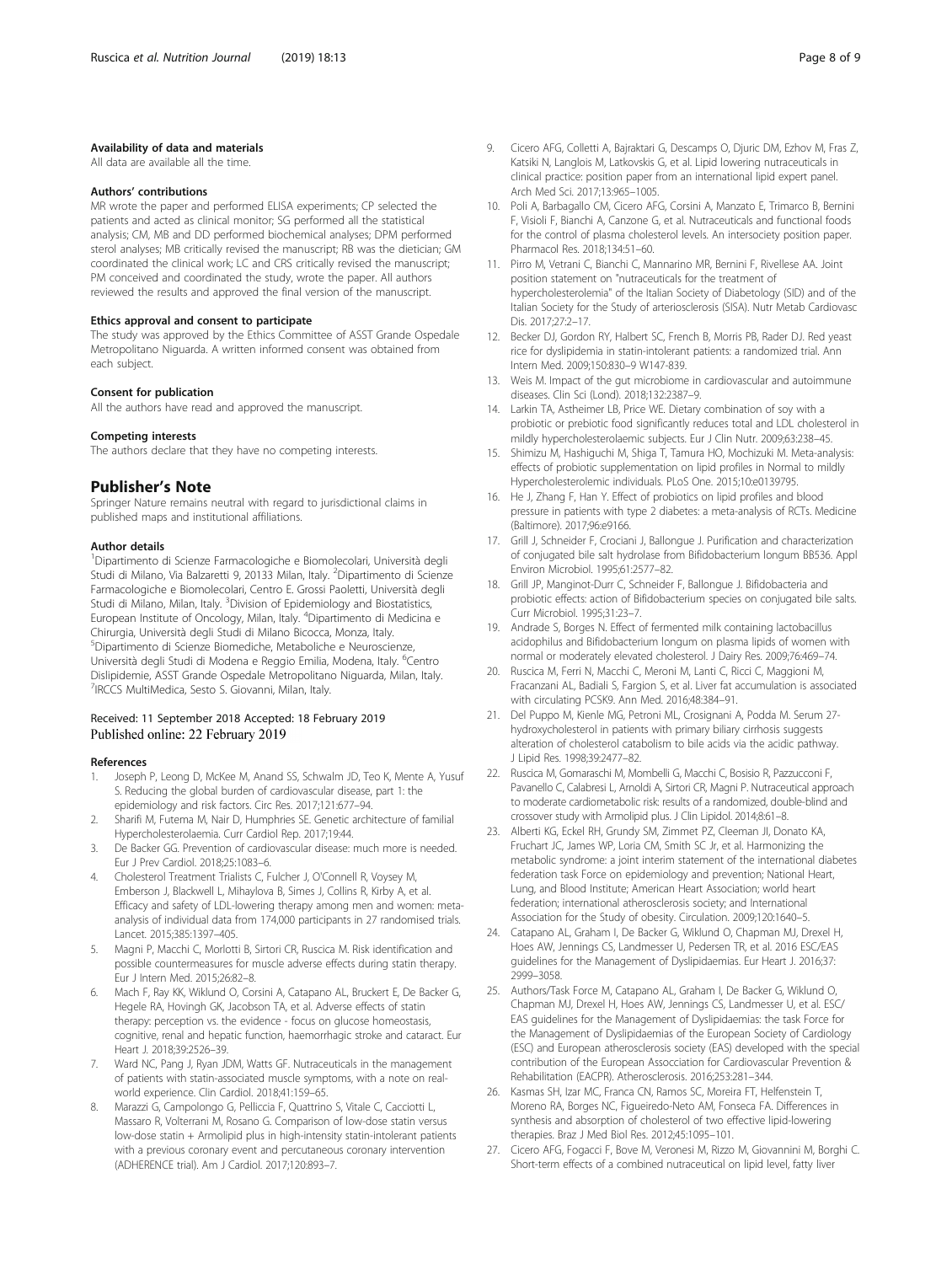#### <span id="page-7-0"></span>Availability of data and materials

All data are available all the time.

#### Authors' contributions

MR wrote the paper and performed ELISA experiments; CP selected the patients and acted as clinical monitor; SG performed all the statistical analysis; CM, MB and DD performed biochemical analyses; DPM performed sterol analyses; MB critically revised the manuscript; RB was the dietician; GM coordinated the clinical work; LC and CRS critically revised the manuscript; PM conceived and coordinated the study, wrote the paper. All authors reviewed the results and approved the final version of the manuscript.

#### Ethics approval and consent to participate

The study was approved by the Ethics Committee of ASST Grande Ospedale Metropolitano Niguarda. A written informed consent was obtained from each subject.

#### Consent for publication

All the authors have read and approved the manuscript.

#### Competing interests

The authors declare that they have no competing interests.

# Publisher's Note

Springer Nature remains neutral with regard to jurisdictional claims in published maps and institutional affiliations.

#### Author details

<sup>1</sup>Dipartimento di Scienze Farmacologiche e Biomolecolari, Università degli Studi di Milano, Via Balzaretti 9, 20133 Milan, Italy. <sup>2</sup>Dipartimento di Scienze Farmacologiche e Biomolecolari, Centro E. Grossi Paoletti, Università degli Studi di Milano, Milan, Italy. <sup>3</sup>Division of Epidemiology and Biostatistics, European Institute of Oncology, Milan, Italy. <sup>4</sup>Dipartimento di Medicina e Chirurgia, Università degli Studi di Milano Bicocca, Monza, Italy. 5 Dipartimento di Scienze Biomediche, Metaboliche e Neuroscienze, Università degli Studi di Modena e Reggio Emilia, Modena, Italy. <sup>6</sup>Centro Dislipidemie, ASST Grande Ospedale Metropolitano Niguarda, Milan, Italy. <sup>7</sup>IRCCS MultiMedica, Sesto S. Giovanni, Milan, Italy.

#### Received: 11 September 2018 Accepted: 18 February 2019 Published online: 22 February 2019

#### References

- 1. Joseph P, Leong D, McKee M, Anand SS, Schwalm JD, Teo K, Mente A, Yusuf S. Reducing the global burden of cardiovascular disease, part 1: the epidemiology and risk factors. Circ Res. 2017;121:677–94.
- 2. Sharifi M, Futema M, Nair D, Humphries SE. Genetic architecture of familial Hypercholesterolaemia. Curr Cardiol Rep. 2017;19:44.
- 3. De Backer GG. Prevention of cardiovascular disease: much more is needed. Eur J Prev Cardiol. 2018;25:1083–6.
- 4. Cholesterol Treatment Trialists C, Fulcher J, O'Connell R, Voysey M, Emberson J, Blackwell L, Mihaylova B, Simes J, Collins R, Kirby A, et al. Efficacy and safety of LDL-lowering therapy among men and women: metaanalysis of individual data from 174,000 participants in 27 randomised trials. Lancet. 2015;385:1397–405.
- 5. Magni P, Macchi C, Morlotti B, Sirtori CR, Ruscica M. Risk identification and possible countermeasures for muscle adverse effects during statin therapy. Eur J Intern Med. 2015;26:82–8.
- 6. Mach F, Ray KK, Wiklund O, Corsini A, Catapano AL, Bruckert E, De Backer G, Hegele RA, Hovingh GK, Jacobson TA, et al. Adverse effects of statin therapy: perception vs. the evidence - focus on glucose homeostasis, cognitive, renal and hepatic function, haemorrhagic stroke and cataract. Eur Heart J. 2018;39:2526–39.
- 7. Ward NC, Pang J, Ryan JDM, Watts GF. Nutraceuticals in the management of patients with statin-associated muscle symptoms, with a note on realworld experience. Clin Cardiol. 2018;41:159–65.
- Marazzi G, Campolongo G, Pelliccia F, Quattrino S, Vitale C, Cacciotti L, Massaro R, Volterrani M, Rosano G. Comparison of low-dose statin versus low-dose statin + Armolipid plus in high-intensity statin-intolerant patients with a previous coronary event and percutaneous coronary intervention (ADHERENCE trial). Am J Cardiol. 2017;120:893–7.
- 9. Cicero AFG, Colletti A, Bajraktari G, Descamps O, Djuric DM, Ezhov M, Fras Z, Katsiki N, Langlois M, Latkovskis G, et al. Lipid lowering nutraceuticals in clinical practice: position paper from an international lipid expert panel. Arch Med Sci. 2017;13:965–1005.
- 10. Poli A, Barbagallo CM, Cicero AFG, Corsini A, Manzato E, Trimarco B, Bernini F, Visioli F, Bianchi A, Canzone G, et al. Nutraceuticals and functional foods for the control of plasma cholesterol levels. An intersociety position paper. Pharmacol Res. 2018;134:51–60.
- 11. Pirro M, Vetrani C, Bianchi C, Mannarino MR, Bernini F, Rivellese AA. Joint position statement on "nutraceuticals for the treatment of hypercholesterolemia" of the Italian Society of Diabetology (SID) and of the Italian Society for the Study of arteriosclerosis (SISA). Nutr Metab Cardiovasc Dis. 2017;27:2–17.
- 12. Becker DJ, Gordon RY, Halbert SC, French B, Morris PB, Rader DJ. Red yeast rice for dyslipidemia in statin-intolerant patients: a randomized trial. Ann Intern Med. 2009;150:830–9 W147-839.
- 13. Weis M. Impact of the gut microbiome in cardiovascular and autoimmune diseases. Clin Sci (Lond). 2018;132:2387–9.
- 14. Larkin TA, Astheimer LB, Price WE. Dietary combination of soy with a probiotic or prebiotic food significantly reduces total and LDL cholesterol in mildly hypercholesterolaemic subjects. Eur J Clin Nutr. 2009;63:238–45.
- 15. Shimizu M, Hashiguchi M, Shiga T, Tamura HO, Mochizuki M. Meta-analysis: effects of probiotic supplementation on lipid profiles in Normal to mildly Hypercholesterolemic individuals. PLoS One. 2015;10:e0139795.
- 16. He J, Zhang F, Han Y. Effect of probiotics on lipid profiles and blood pressure in patients with type 2 diabetes: a meta-analysis of RCTs. Medicine (Baltimore). 2017;96:e9166.
- 17. Grill J, Schneider F, Crociani J, Ballongue J. Purification and characterization of conjugated bile salt hydrolase from Bifidobacterium longum BB536. Appl Environ Microbiol. 1995;61:2577–82.
- 18. Grill JP, Manginot-Durr C, Schneider F, Ballongue J. Bifidobacteria and probiotic effects: action of Bifidobacterium species on conjugated bile salts. Curr Microbiol. 1995;31:23–7.
- 19. Andrade S, Borges N. Effect of fermented milk containing lactobacillus acidophilus and Bifidobacterium longum on plasma lipids of women with normal or moderately elevated cholesterol. J Dairy Res. 2009;76:469–74.
- 20. Ruscica M, Ferri N, Macchi C, Meroni M, Lanti C, Ricci C, Maggioni M, Fracanzani AL, Badiali S, Fargion S, et al. Liver fat accumulation is associated with circulating PCSK9. Ann Med. 2016;48:384–91.
- 21. Del Puppo M, Kienle MG, Petroni ML, Crosignani A, Podda M. Serum 27 hydroxycholesterol in patients with primary biliary cirrhosis suggests alteration of cholesterol catabolism to bile acids via the acidic pathway. J Lipid Res. 1998;39:2477–82.
- 22. Ruscica M, Gomaraschi M, Mombelli G, Macchi C, Bosisio R, Pazzucconi F, Pavanello C, Calabresi L, Arnoldi A, Sirtori CR, Magni P. Nutraceutical approach to moderate cardiometabolic risk: results of a randomized, double-blind and crossover study with Armolipid plus. J Clin Lipidol. 2014;8:61–8.
- 23. Alberti KG, Eckel RH, Grundy SM, Zimmet PZ, Cleeman JI, Donato KA, Fruchart JC, James WP, Loria CM, Smith SC Jr, et al. Harmonizing the metabolic syndrome: a joint interim statement of the international diabetes federation task Force on epidemiology and prevention; National Heart, Lung, and Blood Institute; American Heart Association; world heart federation; international atherosclerosis society; and International Association for the Study of obesity. Circulation. 2009;120:1640–5.
- 24. Catapano AL, Graham I, De Backer G, Wiklund O, Chapman MJ, Drexel H, Hoes AW, Jennings CS, Landmesser U, Pedersen TR, et al. 2016 ESC/EAS guidelines for the Management of Dyslipidaemias. Eur Heart J. 2016;37: 2999–3058.
- 25. Authors/Task Force M, Catapano AL, Graham I, De Backer G, Wiklund O, Chapman MJ, Drexel H, Hoes AW, Jennings CS, Landmesser U, et al. ESC/ EAS guidelines for the Management of Dyslipidaemias: the task Force for the Management of Dyslipidaemias of the European Society of Cardiology (ESC) and European atherosclerosis society (EAS) developed with the special contribution of the European Assocciation for Cardiovascular Prevention & Rehabilitation (EACPR). Atherosclerosis. 2016;253:281–344.
- 26. Kasmas SH, Izar MC, Franca CN, Ramos SC, Moreira FT, Helfenstein T, Moreno RA, Borges NC, Figueiredo-Neto AM, Fonseca FA. Differences in synthesis and absorption of cholesterol of two effective lipid-lowering therapies. Braz J Med Biol Res. 2012;45:1095–101.
- 27. Cicero AFG, Fogacci F, Bove M, Veronesi M, Rizzo M, Giovannini M, Borghi C. Short-term effects of a combined nutraceutical on lipid level, fatty liver